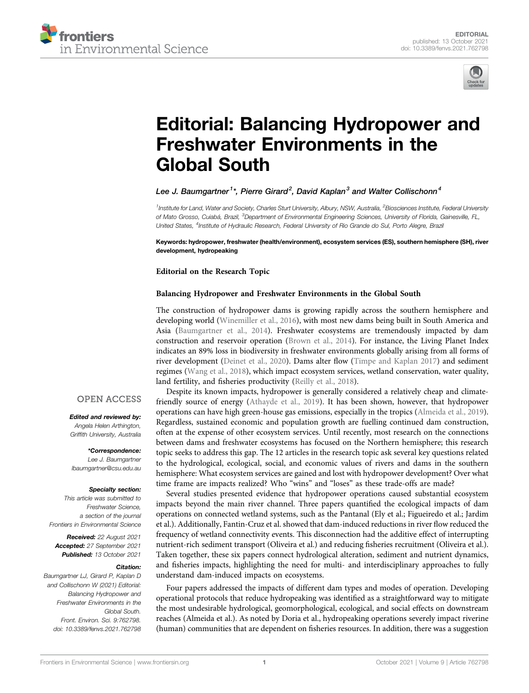



# [Editorial: Balancing Hydropower and](https://www.frontiersin.org/articles/10.3389/fenvs.2021.762798/full) [Freshwater Environments in the](https://www.frontiersin.org/articles/10.3389/fenvs.2021.762798/full) [Global South](https://www.frontiersin.org/articles/10.3389/fenvs.2021.762798/full)

## Lee J. Baumgartner $^{\text{1}*}$ , Pierre Girard $^{\text{2}}$ , David Kaplan $^{\text{3}}$  and Walter Collischonn $^{\text{4}}$

<sup>1</sup>Institute for Land, Water and Society, Charles Sturt University, Albury, NSW, Australia, <sup>2</sup>Biosciences Institute, Federal University of Mato Grosso, Cuiabá, Brazil, <sup>3</sup>Department of Environmental Engineering Sciences, University of Florida, Gainesville, FL, United States, <sup>4</sup>Institute of Hydraulic Research, Federal University of Rio Grande do Sul, Porto Alegre, Brazil

Keywords: hydropower, freshwater (health/environment), ecosystem services (ES), southern hemisphere (SH), river development, hydropeaking

Editorial on the Research Topic

## [Balancing Hydropower and Freshwater Environments in the Global South](https://www.frontiersin.org/researchtopic/12249)

The construction of hydropower dams is growing rapidly across the southern hemisphere and developing world [\(Winemiller et al., 2016\)](#page-1-0), with most new dams being built in South America and Asia ([Baumgartner et al., 2014](#page-1-1)). Freshwater ecosystems are tremendously impacted by dam construction and reservoir operation ([Brown et al., 2014](#page-1-2)). For instance, the Living Planet Index indicates an 89% loss in biodiversity in freshwater environments globally arising from all forms of river development ([Deinet et al., 2020\)](#page-1-3). Dams alter flow [\(Timpe and Kaplan 2017\)](#page-1-4) and sediment regimes ([Wang et al., 2018\)](#page-1-5), which impact ecosystem services, wetland conservation, water quality, land fertility, and fisheries productivity [\(Reilly et al., 2018](#page-1-6)).

Despite its known impacts, hydropower is generally considered a relatively cheap and climatefriendly source of energy ([Athayde et al., 2019\)](#page-1-7). It has been shown, however, that hydropower operations can have high green-house gas emissions, especially in the tropics ([Almeida et al., 2019\)](#page-1-8). Regardless, sustained economic and population growth are fuelling continued dam construction, often at the expense of other ecosystem services. Until recently, most research on the connections between dams and freshwater ecosystems has focused on the Northern hemisphere; this research topic seeks to address this gap. The 12 articles in the research topic ask several key questions related to the hydrological, ecological, social, and economic values of rivers and dams in the southern hemisphere: What ecosystem services are gained and lost with hydropower development? Over what time frame are impacts realized? Who "wins" and "loses" as these trade-offs are made?

Several studies presented evidence that hydropower operations caused substantial ecosystem impacts beyond the main river channel. Three papers quantified the ecological impacts of dam operations on connected wetland systems, such as the Pantanal ([Ely et al.](https://doi.org/10.3389/fenvs.2020.579031); [Figueiredo et al.;](https://doi.org/10.3389/fenvs.2021.577286) [Jardim](https://doi.org/10.3389/fenvs.2020.567450) [et al.\)](https://doi.org/10.3389/fenvs.2020.567450). Additionally, [Fantin-Cruz et al.](https://doi.org/10.3389/fenvs.2020.577748) showed that dam-induced reductions in river flow reduced the frequency of wetland connectivity events. This disconnection had the additive effect of interrupting nutrient-rich sediment transport [\(Oliveira et al.](https://doi.org/10.3389/fenvs.2020.577181)) and reducing fisheries recruitment ([Oliveira et al.\)](https://doi.org/10.3389/fenvs.2020.577793). Taken together, these six papers connect hydrological alteration, sediment and nutrient dynamics, and fisheries impacts, highlighting the need for multi- and interdisciplinary approaches to fully understand dam-induced impacts on ecosystems.

Four papers addressed the impacts of different dam types and modes of operation. Developing operational protocols that reduce hydropeaking was identified as a straightforward way to mitigate the most undesirable hydrological, geomorphological, ecological, and social effects on downstream reaches [\(Almeida et al.\)](https://doi.org/10.3389/fenvs.2020.00120). As noted by [Doria et al.,](https://doi.org/10.3389/fenvs.2021.575514) hydropeaking operations severely impact riverine (human) communities that are dependent on fisheries resources. In addition, there was a suggestion

## **OPEN ACCESS**

Edited and reviewed by: Angela Helen Arthington, Griffith University, Australia

\*Correspondence: Lee J. Baumgartner [lbaumgartner@csu.edu.au](mailto:lbaumgartner@csu.edu.au)

#### Specialty section:

This article was submitted to Freshwater Science, a section of the journal Frontiers in Environmental Science

Received: 22 August 2021 Accepted: 27 September 2021 Published: 13 October 2021

### Citation:

Baumgartner LJ, Girard P, Kaplan D and Collischonn W (2021) Editorial: Balancing Hydropower and Freshwater Environments in the Global South. Front. Environ. Sci. 9:762798. doi: [10.3389/fenvs.2021.762798](https://doi.org/10.3389/fenvs.2021.762798)